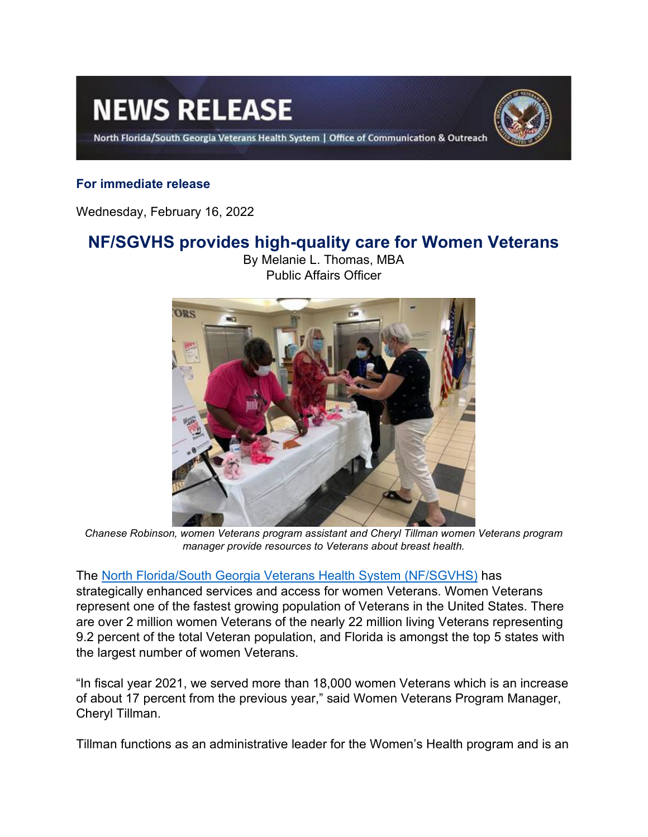# **NEWS RELEASE**

North Florida/South Georgia Veterans Health System | Office of Communication & Outreach



## **For immediate release**

Wednesday, February 16, 2022

# **NF/SGVHS provides high-quality care for Women Veterans**



By Melanie L. Thomas, MBA Public Affairs Officer

*Chanese Robinson, women Veterans program assistant and Cheryl Tillman women Veterans program manager provide resources to Veterans about breast health.*

#### The [North Florida/South Georgia Veterans Health System \(NF/SGVHS\)](https://www.va.gov/north-florida-health-care/) has

strategically enhanced services and access for women Veterans. Women Veterans represent one of the fastest growing population of Veterans in the United States. There are over 2 million women Veterans of the nearly 22 million living Veterans representing 9.2 percent of the total Veteran population, and Florida is amongst the top 5 states with the largest number of women Veterans.

"In fiscal year 2021, we served more than 18,000 women Veterans which is an increase of about 17 percent from the previous year," said Women Veterans Program Manager, Cheryl Tillman.

Tillman functions as an administrative leader for the Women's Health program and is an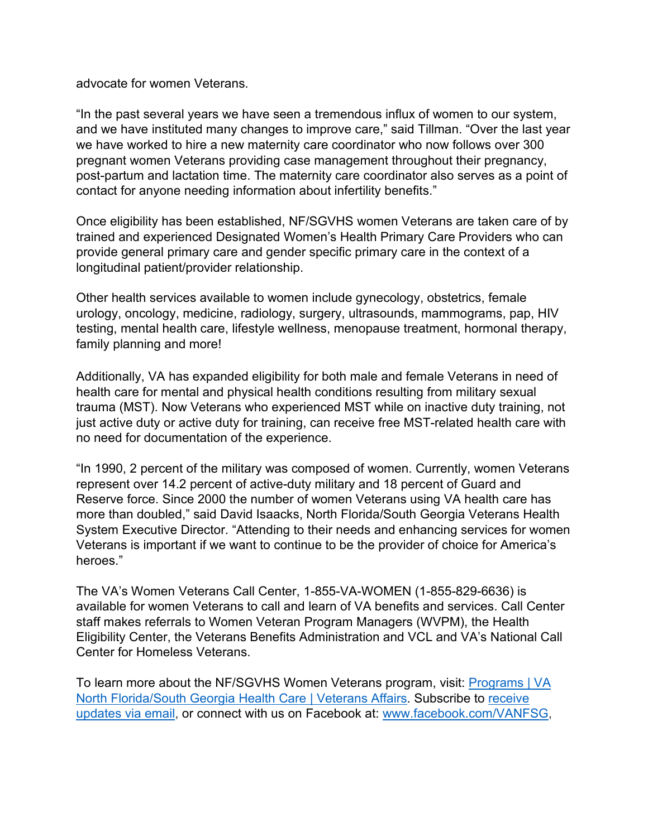advocate for women Veterans.

"In the past several years we have seen a tremendous influx of women to our system, and we have instituted many changes to improve care," said Tillman. "Over the last year we have worked to hire a new maternity care coordinator who now follows over 300 pregnant women Veterans providing case management throughout their pregnancy, post-partum and lactation time. The maternity care coordinator also serves as a point of contact for anyone needing information about infertility benefits."

Once eligibility has been established, NF/SGVHS women Veterans are taken care of by trained and experienced Designated Women's Health Primary Care Providers who can provide general primary care and gender specific primary care in the context of a longitudinal patient/provider relationship.

Other health services available to women include gynecology, obstetrics, female urology, oncology, medicine, radiology, surgery, ultrasounds, mammograms, pap, HIV testing, mental health care, lifestyle wellness, menopause treatment, hormonal therapy, family planning and more!

Additionally, VA has expanded eligibility for both male and female Veterans in need of health care for mental and physical health conditions resulting from military sexual trauma (MST). Now Veterans who experienced MST while on inactive duty training, not just active duty or active duty for training, can receive free MST-related health care with no need for documentation of the experience.

"In 1990, 2 percent of the military was composed of women. Currently, women Veterans represent over 14.2 percent of active-duty military and 18 percent of Guard and Reserve force. Since 2000 the number of women Veterans using VA health care has more than doubled," said David Isaacks, North Florida/South Georgia Veterans Health System Executive Director. "Attending to their needs and enhancing services for women Veterans is important if we want to continue to be the provider of choice for America's heroes."

The VA's Women Veterans Call Center, 1-855-VA-WOMEN (1-855-829-6636) is available for women Veterans to call and learn of VA benefits and services. Call Center staff makes referrals to Women Veteran Program Managers (WVPM), the Health Eligibility Center, the Veterans Benefits Administration and VCL and VA's National Call Center for Homeless Veterans.

To learn more about the NF/SGVHS Women Veterans program, visit: [Programs | VA](https://www.va.gov/north-florida-health-care/programs/#women-veterans)  [North Florida/South Georgia Health Care | Veterans Affairs.](https://www.va.gov/north-florida-health-care/programs/#women-veterans) Subscribe to [receive](https://public.govdelivery.com/accounts/USVHA/subscriber/new)  [updates via email,](https://public.govdelivery.com/accounts/USVHA/subscriber/new) or connect with us on Facebook at: [www.facebook.com/VANFSG,](https://www.facebook.com/VANFSG)